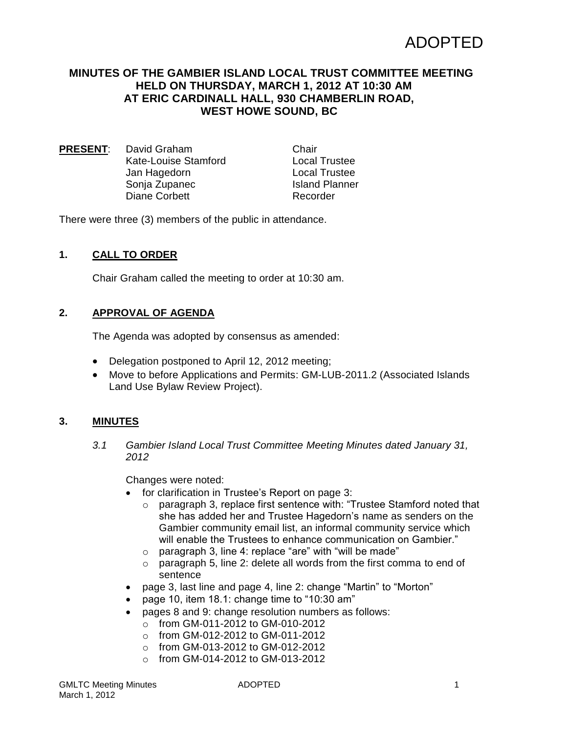# ADOPTED

## **MINUTES OF THE GAMBIER ISLAND LOCAL TRUST COMMITTEE MEETING HELD ON THURSDAY, MARCH 1, 2012 AT 10:30 AM AT ERIC CARDINALL HALL, 930 CHAMBERLIN ROAD, WEST HOWE SOUND, BC**

**PRESENT:** David Graham Chair Kate-Louise Stamford Local Trustee Jan Hagedorn Local Trustee Sonja Zupanec **Island Planner** Diane Corbett **Recorder** 

There were three (3) members of the public in attendance.

## **1. CALL TO ORDER**

Chair Graham called the meeting to order at 10:30 am.

#### **2. APPROVAL OF AGENDA**

The Agenda was adopted by consensus as amended:

- Delegation postponed to April 12, 2012 meeting;
- Move to before Applications and Permits: GM-LUB-2011.2 (Associated Islands Land Use Bylaw Review Project).

#### **3. MINUTES**

*3.1 Gambier Island Local Trust Committee Meeting Minutes dated January 31, 2012*

Changes were noted:

- for clarification in Trustee's Report on page 3:
	- o paragraph 3, replace first sentence with: "Trustee Stamford noted that she has added her and Trustee Hagedorn's name as senders on the Gambier community email list, an informal community service which will enable the Trustees to enhance communication on Gambier."
	- $\circ$  paragraph 3, line 4: replace "are" with "will be made"
	- o paragraph 5, line 2: delete all words from the first comma to end of sentence
- page 3, last line and page 4, line 2: change "Martin" to "Morton"
- page 10, item 18.1: change time to "10:30 am"
- pages 8 and 9: change resolution numbers as follows:
	- $\circ$  from GM-011-2012 to GM-010-2012
	- o from GM-012-2012 to GM-011-2012
	- o from GM-013-2012 to GM-012-2012
	- $\circ$  from GM-014-2012 to GM-013-2012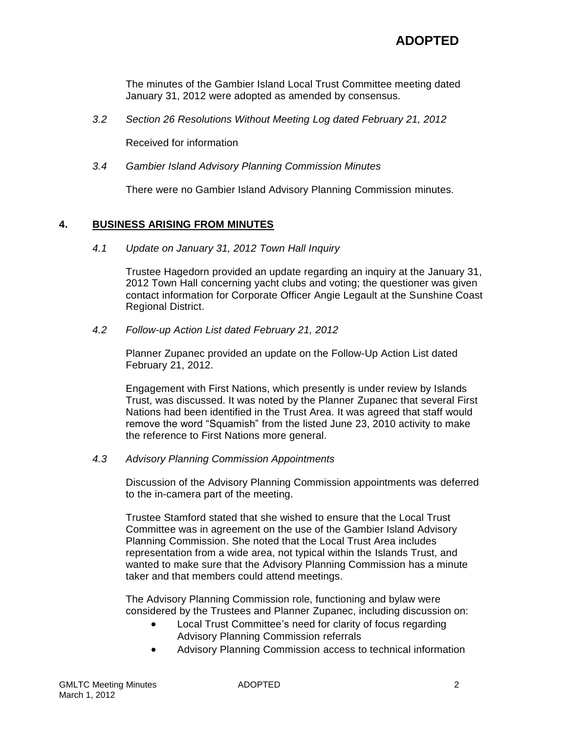The minutes of the Gambier Island Local Trust Committee meeting dated January 31, 2012 were adopted as amended by consensus.

*3.2 Section 26 Resolutions Without Meeting Log dated February 21, 2012*

Received for information

*3.4 Gambier Island Advisory Planning Commission Minutes*

There were no Gambier Island Advisory Planning Commission minutes.

## **4. BUSINESS ARISING FROM MINUTES**

*4.1 Update on January 31, 2012 Town Hall Inquiry*

Trustee Hagedorn provided an update regarding an inquiry at the January 31, 2012 Town Hall concerning yacht clubs and voting; the questioner was given contact information for Corporate Officer Angie Legault at the Sunshine Coast Regional District.

*4.2 Follow-up Action List dated February 21, 2012*

Planner Zupanec provided an update on the Follow-Up Action List dated February 21, 2012.

Engagement with First Nations, which presently is under review by Islands Trust, was discussed. It was noted by the Planner Zupanec that several First Nations had been identified in the Trust Area. It was agreed that staff would remove the word "Squamish" from the listed June 23, 2010 activity to make the reference to First Nations more general.

*4.3 Advisory Planning Commission Appointments*

Discussion of the Advisory Planning Commission appointments was deferred to the in-camera part of the meeting.

Trustee Stamford stated that she wished to ensure that the Local Trust Committee was in agreement on the use of the Gambier Island Advisory Planning Commission. She noted that the Local Trust Area includes representation from a wide area, not typical within the Islands Trust, and wanted to make sure that the Advisory Planning Commission has a minute taker and that members could attend meetings.

The Advisory Planning Commission role, functioning and bylaw were considered by the Trustees and Planner Zupanec, including discussion on:

- Local Trust Committee's need for clarity of focus regarding Advisory Planning Commission referrals
- Advisory Planning Commission access to technical information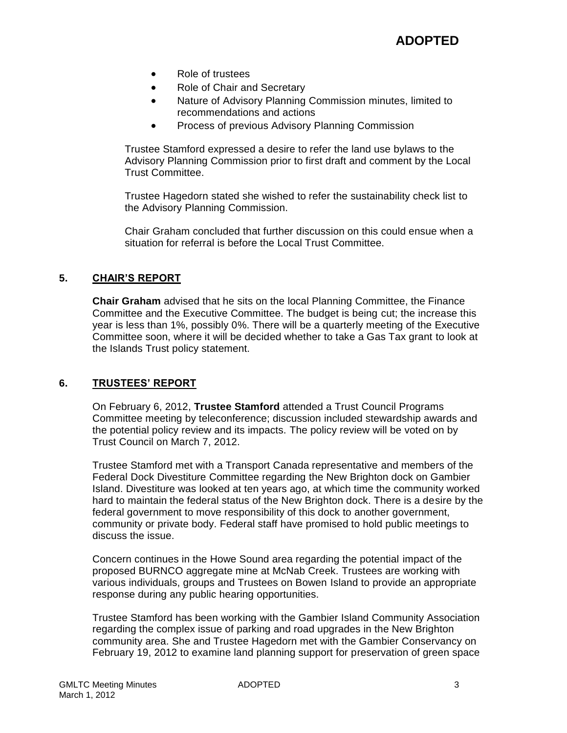- Role of trustees
- Role of Chair and Secretary
- Nature of Advisory Planning Commission minutes, limited to recommendations and actions
- Process of previous Advisory Planning Commission

Trustee Stamford expressed a desire to refer the land use bylaws to the Advisory Planning Commission prior to first draft and comment by the Local Trust Committee.

Trustee Hagedorn stated she wished to refer the sustainability check list to the Advisory Planning Commission.

Chair Graham concluded that further discussion on this could ensue when a situation for referral is before the Local Trust Committee.

## **5. CHAIR'S REPORT**

**Chair Graham** advised that he sits on the local Planning Committee, the Finance Committee and the Executive Committee. The budget is being cut; the increase this year is less than 1%, possibly 0%. There will be a quarterly meeting of the Executive Committee soon, where it will be decided whether to take a Gas Tax grant to look at the Islands Trust policy statement.

## **6. TRUSTEES' REPORT**

On February 6, 2012, **Trustee Stamford** attended a Trust Council Programs Committee meeting by teleconference; discussion included stewardship awards and the potential policy review and its impacts. The policy review will be voted on by Trust Council on March 7, 2012.

Trustee Stamford met with a Transport Canada representative and members of the Federal Dock Divestiture Committee regarding the New Brighton dock on Gambier Island. Divestiture was looked at ten years ago, at which time the community worked hard to maintain the federal status of the New Brighton dock. There is a desire by the federal government to move responsibility of this dock to another government, community or private body. Federal staff have promised to hold public meetings to discuss the issue.

Concern continues in the Howe Sound area regarding the potential impact of the proposed BURNCO aggregate mine at McNab Creek. Trustees are working with various individuals, groups and Trustees on Bowen Island to provide an appropriate response during any public hearing opportunities.

Trustee Stamford has been working with the Gambier Island Community Association regarding the complex issue of parking and road upgrades in the New Brighton community area. She and Trustee Hagedorn met with the Gambier Conservancy on February 19, 2012 to examine land planning support for preservation of green space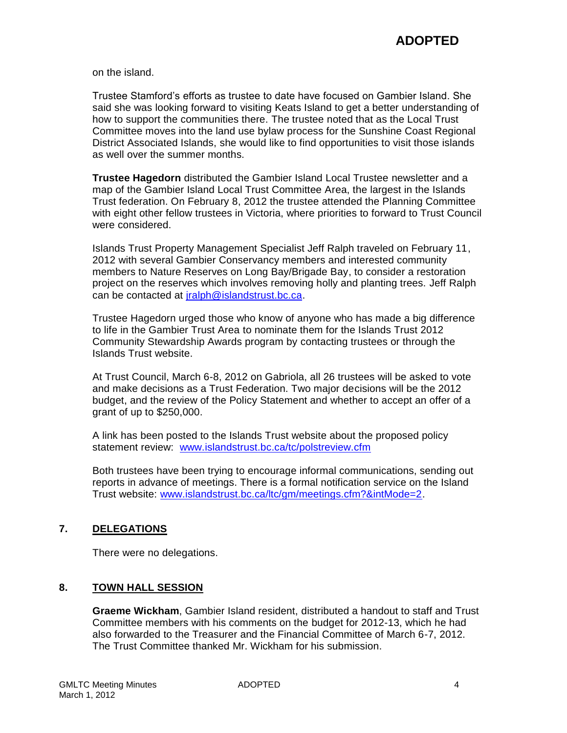on the island.

Trustee Stamford's efforts as trustee to date have focused on Gambier Island. She said she was looking forward to visiting Keats Island to get a better understanding of how to support the communities there. The trustee noted that as the Local Trust Committee moves into the land use bylaw process for the Sunshine Coast Regional District Associated Islands, she would like to find opportunities to visit those islands as well over the summer months.

**Trustee Hagedorn** distributed the Gambier Island Local Trustee newsletter and a map of the Gambier Island Local Trust Committee Area, the largest in the Islands Trust federation. On February 8, 2012 the trustee attended the Planning Committee with eight other fellow trustees in Victoria, where priorities to forward to Trust Council were considered.

Islands Trust Property Management Specialist Jeff Ralph traveled on February 11, 2012 with several Gambier Conservancy members and interested community members to Nature Reserves on Long Bay/Brigade Bay, to consider a restoration project on the reserves which involves removing holly and planting trees. Jeff Ralph can be contacted at [jralph@islandstrust.bc.ca.](mailto:jralph@islandstrust.bc.ca)

Trustee Hagedorn urged those who know of anyone who has made a big difference to life in the Gambier Trust Area to nominate them for the Islands Trust 2012 Community Stewardship Awards program by contacting trustees or through the Islands Trust website.

At Trust Council, March 6-8, 2012 on Gabriola, all 26 trustees will be asked to vote and make decisions as a Trust Federation. Two major decisions will be the 2012 budget, and the review of the Policy Statement and whether to accept an offer of a grant of up to \$250,000.

A link has been posted to the Islands Trust website about the proposed policy statement review: [www.islandstrust.bc.ca/tc/polstreview.cfm](http://www.islandstrust.bc.ca/tc/polstreview.cfm)

Both trustees have been trying to encourage informal communications, sending out reports in advance of meetings. There is a formal notification service on the Island Trust website: [www.islandstrust.bc.ca/ltc/gm/meetings.cfm?&intMode=2.](http://www.islandstrust.bc.ca/ltc/gm/meetings.cfm?&intMode=2)

## **7. DELEGATIONS**

There were no delegations.

## **8. TOWN HALL SESSION**

**Graeme Wickham**, Gambier Island resident, distributed a handout to staff and Trust Committee members with his comments on the budget for 2012-13, which he had also forwarded to the Treasurer and the Financial Committee of March 6-7, 2012. The Trust Committee thanked Mr. Wickham for his submission.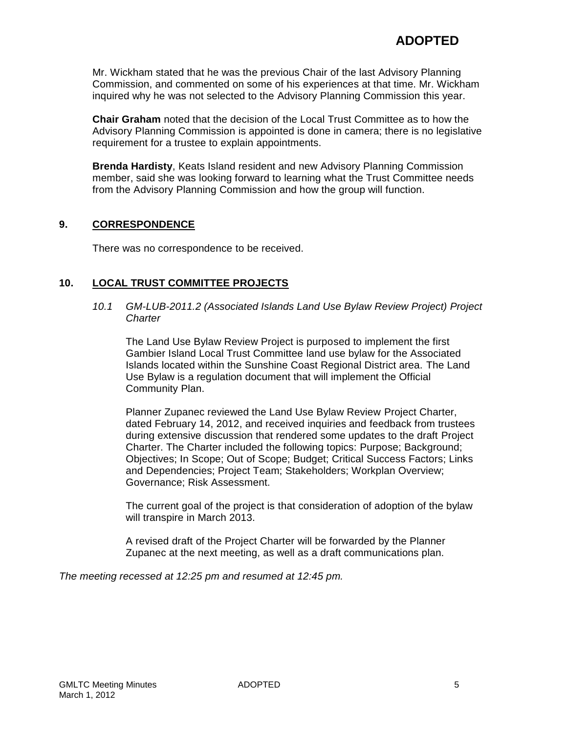Mr. Wickham stated that he was the previous Chair of the last Advisory Planning Commission, and commented on some of his experiences at that time. Mr. Wickham inquired why he was not selected to the Advisory Planning Commission this year.

**Chair Graham** noted that the decision of the Local Trust Committee as to how the Advisory Planning Commission is appointed is done in camera; there is no legislative requirement for a trustee to explain appointments.

**Brenda Hardisty**, Keats Island resident and new Advisory Planning Commission member, said she was looking forward to learning what the Trust Committee needs from the Advisory Planning Commission and how the group will function.

## **9. CORRESPONDENCE**

There was no correspondence to be received.

## **10. LOCAL TRUST COMMITTEE PROJECTS**

*10.1 GM-LUB-2011.2 (Associated Islands Land Use Bylaw Review Project) Project Charter*

The Land Use Bylaw Review Project is purposed to implement the first Gambier Island Local Trust Committee land use bylaw for the Associated Islands located within the Sunshine Coast Regional District area. The Land Use Bylaw is a regulation document that will implement the Official Community Plan.

Planner Zupanec reviewed the Land Use Bylaw Review Project Charter, dated February 14, 2012, and received inquiries and feedback from trustees during extensive discussion that rendered some updates to the draft Project Charter. The Charter included the following topics: Purpose; Background; Objectives; In Scope; Out of Scope; Budget; Critical Success Factors; Links and Dependencies; Project Team; Stakeholders; Workplan Overview; Governance; Risk Assessment.

The current goal of the project is that consideration of adoption of the bylaw will transpire in March 2013.

A revised draft of the Project Charter will be forwarded by the Planner Zupanec at the next meeting, as well as a draft communications plan.

*The meeting recessed at 12:25 pm and resumed at 12:45 pm.*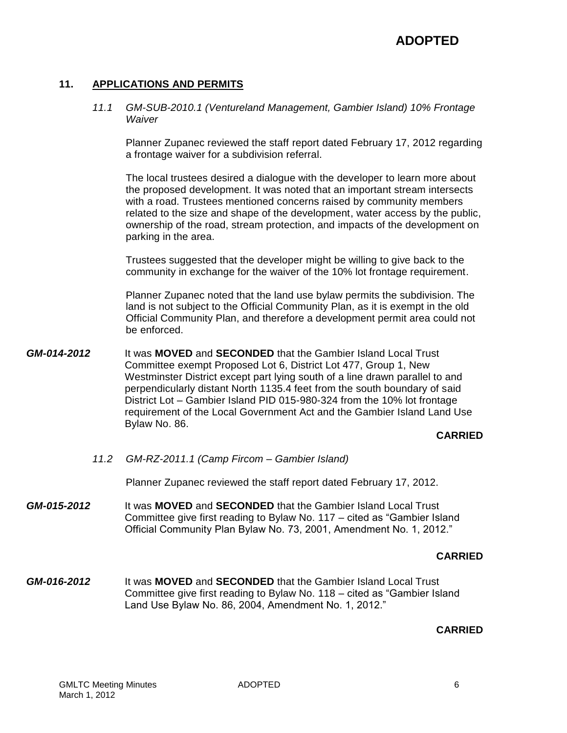## **11. APPLICATIONS AND PERMITS**

*11.1 GM-SUB-2010.1 (Ventureland Management, Gambier Island) 10% Frontage Waiver*

Planner Zupanec reviewed the staff report dated February 17, 2012 regarding a frontage waiver for a subdivision referral.

The local trustees desired a dialogue with the developer to learn more about the proposed development. It was noted that an important stream intersects with a road. Trustees mentioned concerns raised by community members related to the size and shape of the development, water access by the public, ownership of the road, stream protection, and impacts of the development on parking in the area.

Trustees suggested that the developer might be willing to give back to the community in exchange for the waiver of the 10% lot frontage requirement.

Planner Zupanec noted that the land use bylaw permits the subdivision. The land is not subject to the Official Community Plan, as it is exempt in the old Official Community Plan, and therefore a development permit area could not be enforced.

*GM-014-2012* It was **MOVED** and **SECONDED** that the Gambier Island Local Trust Committee exempt Proposed Lot 6, District Lot 477, Group 1, New Westminster District except part lying south of a line drawn parallel to and perpendicularly distant North 1135.4 feet from the south boundary of said District Lot – Gambier Island PID 015-980-324 from the 10% lot frontage requirement of the Local Government Act and the Gambier Island Land Use Bylaw No. 86.

## **CARRIED**

*11.2 GM-RZ-2011.1 (Camp Fircom – Gambier Island)*

Planner Zupanec reviewed the staff report dated February 17, 2012.

*GM-015-2012* It was **MOVED** and **SECONDED** that the Gambier Island Local Trust Committee give first reading to Bylaw No. 117 – cited as "Gambier Island Official Community Plan Bylaw No. 73, 2001, Amendment No. 1, 2012."

## **CARRIED**

*GM-016-2012* It was **MOVED** and **SECONDED** that the Gambier Island Local Trust Committee give first reading to Bylaw No. 118 – cited as "Gambier Island Land Use Bylaw No. 86, 2004, Amendment No. 1, 2012."

## **CARRIED**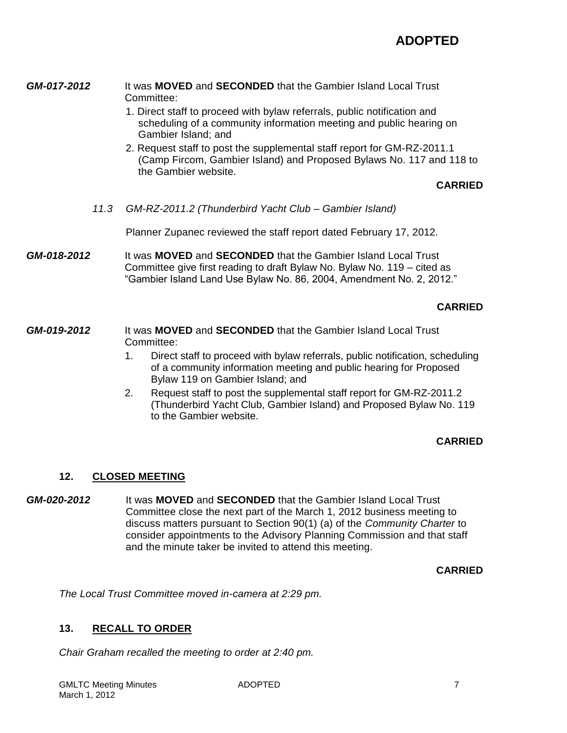#### *GM-017-2012* It was **MOVED** and **SECONDED** that the Gambier Island Local Trust Committee:

- 1. Direct staff to proceed with bylaw referrals, public notification and scheduling of a community information meeting and public hearing on Gambier Island; and
- 2. Request staff to post the supplemental staff report for GM-RZ-2011.1 (Camp Fircom, Gambier Island) and Proposed Bylaws No. 117 and 118 to the Gambier website.

## **CARRIED**

*11.3 GM-RZ-2011.2 (Thunderbird Yacht Club – Gambier Island)*

Planner Zupanec reviewed the staff report dated February 17, 2012.

*GM-018-2012* It was **MOVED** and **SECONDED** that the Gambier Island Local Trust Committee give first reading to draft Bylaw No. Bylaw No. 119 – cited as "Gambier Island Land Use Bylaw No. 86, 2004, Amendment No. 2, 2012."

## **CARRIED**

- *GM-019-2012* It was **MOVED** and **SECONDED** that the Gambier Island Local Trust Committee:
	- 1. Direct staff to proceed with bylaw referrals, public notification, scheduling of a community information meeting and public hearing for Proposed Bylaw 119 on Gambier Island; and
	- 2. Request staff to post the supplemental staff report for GM-RZ-2011.2 (Thunderbird Yacht Club, Gambier Island) and Proposed Bylaw No. 119 to the Gambier website.

## **CARRIED**

## **12. CLOSED MEETING**

*GM-020-2012* It was **MOVED** and **SECONDED** that the Gambier Island Local Trust Committee close the next part of the March 1, 2012 business meeting to discuss matters pursuant to Section 90(1) (a) of the *Community Charter* to consider appointments to the Advisory Planning Commission and that staff and the minute taker be invited to attend this meeting.

## **CARRIED**

*The Local Trust Committee moved in-camera at 2:29 pm.*

## **13. RECALL TO ORDER**

*Chair Graham recalled the meeting to order at 2:40 pm.*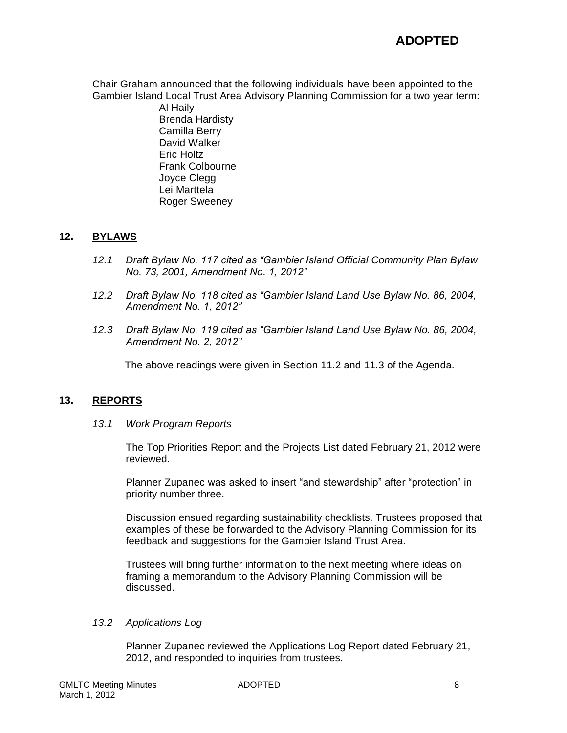## **ADOPTED**

Chair Graham announced that the following individuals have been appointed to the Gambier Island Local Trust Area Advisory Planning Commission for a two year term:

> Al Haily Brenda Hardisty Camilla Berry David Walker Eric Holtz Frank Colbourne Joyce Clegg Lei Marttela Roger Sweeney

## **12. BYLAWS**

- *12.1 Draft Bylaw No. 117 cited as "Gambier Island Official Community Plan Bylaw No. 73, 2001, Amendment No. 1, 2012"*
- *12.2 Draft Bylaw No. 118 cited as "Gambier Island Land Use Bylaw No. 86, 2004, Amendment No. 1, 2012"*
- *12.3 Draft Bylaw No. 119 cited as "Gambier Island Land Use Bylaw No. 86, 2004, Amendment No. 2, 2012"*

The above readings were given in Section 11.2 and 11.3 of the Agenda.

#### **13. REPORTS**

*13.1 Work Program Reports*

The Top Priorities Report and the Projects List dated February 21, 2012 were reviewed.

Planner Zupanec was asked to insert "and stewardship" after "protection" in priority number three.

Discussion ensued regarding sustainability checklists. Trustees proposed that examples of these be forwarded to the Advisory Planning Commission for its feedback and suggestions for the Gambier Island Trust Area.

Trustees will bring further information to the next meeting where ideas on framing a memorandum to the Advisory Planning Commission will be discussed.

#### *13.2 Applications Log*

Planner Zupanec reviewed the Applications Log Report dated February 21, 2012, and responded to inquiries from trustees.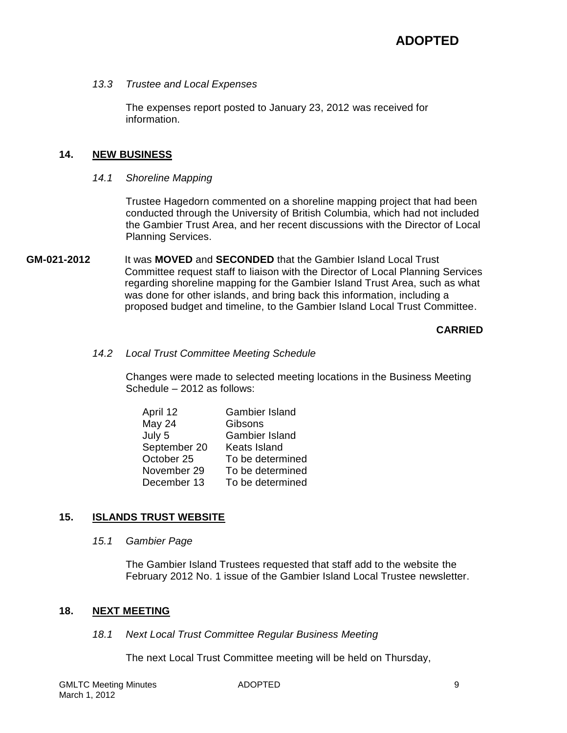## *13.3 Trustee and Local Expenses*

The expenses report posted to January 23, 2012 was received for information.

#### **14. NEW BUSINESS**

#### *14.1 Shoreline Mapping*

Trustee Hagedorn commented on a shoreline mapping project that had been conducted through the University of British Columbia, which had not included the Gambier Trust Area, and her recent discussions with the Director of Local Planning Services.

**GM-021-2012** It was **MOVED** and **SECONDED** that the Gambier Island Local Trust Committee request staff to liaison with the Director of Local Planning Services regarding shoreline mapping for the Gambier Island Trust Area, such as what was done for other islands, and bring back this information, including a proposed budget and timeline, to the Gambier Island Local Trust Committee.

## **CARRIED**

#### *14.2 Local Trust Committee Meeting Schedule*

Changes were made to selected meeting locations in the Business Meeting Schedule – 2012 as follows:

| April 12     | <b>Gambier Island</b> |
|--------------|-----------------------|
| May 24       | Gibsons               |
| July 5       | <b>Gambier Island</b> |
| September 20 | <b>Keats Island</b>   |
| October 25   | To be determined      |
| November 29  | To be determined      |
| December 13  | To be determined      |

## **15. ISLANDS TRUST WEBSITE**

*15.1 Gambier Page*

The Gambier Island Trustees requested that staff add to the website the February 2012 No. 1 issue of the Gambier Island Local Trustee newsletter.

#### **18. NEXT MEETING**

#### *18.1 Next Local Trust Committee Regular Business Meeting*

The next Local Trust Committee meeting will be held on Thursday,